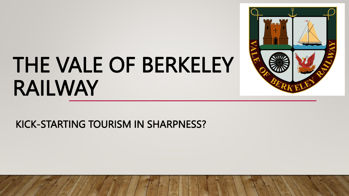# THE VALE OF BERKELEY RAILWAY



#### KICK-STARTING TOURISM IN SHARPNESS?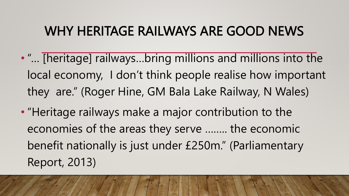#### WHY HERITAGE RAILWAYS ARE GOOD NEWS

- "… [heritage] railways…bring millions and millions into the local economy, I don't think people realise how important they are." (Roger Hine, GM Bala Lake Railway, N Wales)
- "Heritage railways make a major contribution to the economies of the areas they serve …….. the economic benefit nationally is just under £250m." (Parliamentary Report, 2013)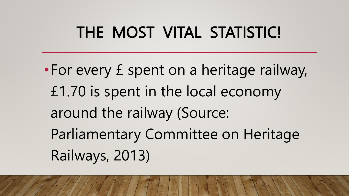### THE MOST VITAL STATISTIC!

•For every £ spent on a heritage railway, £1.70 is spent in the local economy around the railway (Source: Parliamentary Committee on Heritage Railways, 2013)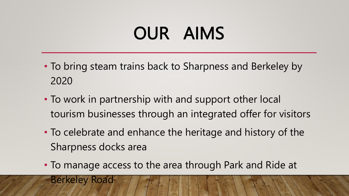# OUR AIMS

- To bring steam trains back to Sharpness and Berkeley by 2020
- To work in partnership with and support other local tourism businesses through an integrated offer for visitors
- To celebrate and enhance the heritage and history of the Sharpness docks area
- To manage access to the area through Park and Ride at

Berkeley Road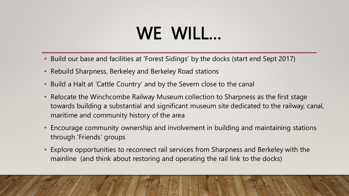# WE WILL…

- Build our base and facilities at 'Forest Sidings' by the docks (start end Sept 2017)
- Rebuild Sharpness, Berkeley and Berkeley Road stations
- Build a Halt at 'Cattle Country' and by the Severn close to the canal
- Relocate the Winchcombe Railway Museum collection to Sharpness as the first stage towards building a substantial and significant museum site dedicated to the railway, canal, maritime and community history of the area
- Encourage community ownership and involvement in building and maintaining stations through 'Friends' groups
- Explore opportunities to reconnect rail services from Sharpness and Berkeley with the mainline (and think about restoring and operating the rail link to the docks)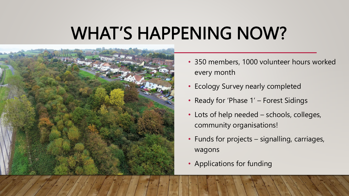## WHAT'S HAPPENING NOW?



- 350 members, 1000 volunteer hours worked every month
- Ecology Survey nearly completed
- Ready for 'Phase 1' Forest Sidings
- Lots of help needed schools, colleges, community organisations!
- Funds for projects signalling, carriages, wagons
- Applications for funding